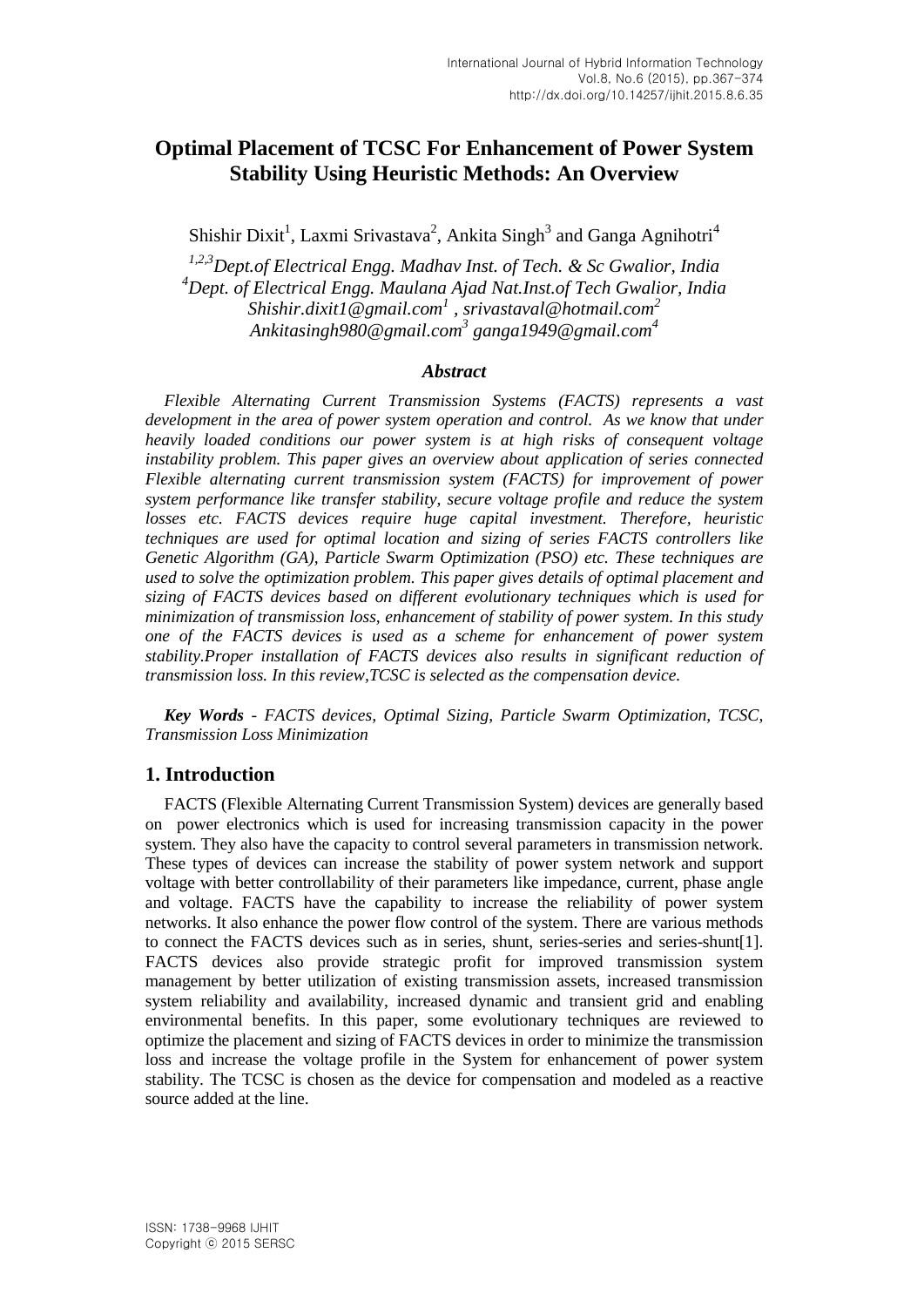# **Optimal Placement of TCSC For Enhancement of Power System Stability Using Heuristic Methods: An Overview**

Shishir Dixit<sup>1</sup>, Laxmi Srivastava<sup>2</sup>, Ankita Singh<sup>3</sup> and Ganga Agnihotri<sup>4</sup>

*1,2,3Dept.of Electrical Engg. Madhav Inst. of Tech. & Sc Gwalior, India <sup>4</sup>Dept. of Electrical Engg. Maulana Ajad Nat.Inst.of Tech Gwalior, India Shishir.dixit1@gmail.com<sup>1</sup> , srivastaval@hotmail.com<sup>2</sup> Ankitasingh980@gmail.com<sup>3</sup> ganga1949@gmail.com<sup>4</sup>*

#### *Abstract*

*Flexible Alternating Current Transmission Systems (FACTS) represents a vast development in the area of power system operation and control. As we know that under heavily loaded conditions our power system is at high risks of consequent voltage instability problem. This paper gives an overview about application of series connected Flexible alternating current transmission system (FACTS) for improvement of power system performance like transfer stability, secure voltage profile and reduce the system losses etc. FACTS devices require huge capital investment. Therefore, heuristic techniques are used for optimal location and sizing of series FACTS controllers like Genetic Algorithm (GA), Particle Swarm Optimization (PSO) etc. These techniques are used to solve the optimization problem. This paper gives details of optimal placement and sizing of FACTS devices based on different evolutionary techniques which is used for minimization of transmission loss, enhancement of stability of power system. In this study one of the FACTS devices is used as a scheme for enhancement of power system stability.Proper installation of FACTS devices also results in significant reduction of transmission loss. In this review,TCSC is selected as the compensation device.*

*Key Words - FACTS devices, Optimal Sizing, Particle Swarm Optimization, TCSC, Transmission Loss Minimization*

## **1. Introduction**

FACTS (Flexible Alternating Current Transmission System) devices are generally based on power electronics which is used for increasing transmission capacity in the power system. They also have the capacity to control several parameters in transmission network. These types of devices can increase the stability of power system network and support voltage with better controllability of their parameters like impedance, current, phase angle and voltage. FACTS have the capability to increase the reliability of power system networks. It also enhance the power flow control of the system. There are various methods to connect the FACTS devices such as in series, shunt, series-series and series-shunt[1]. FACTS devices also provide strategic profit for improved transmission system management by better utilization of existing transmission assets, increased transmission system reliability and availability, increased dynamic and transient grid and enabling environmental benefits. In this paper, some evolutionary techniques are reviewed to optimize the placement and sizing of FACTS devices in order to minimize the transmission loss and increase the voltage profile in the System for enhancement of power system stability. The TCSC is chosen as the device for compensation and modeled as a reactive source added at the line.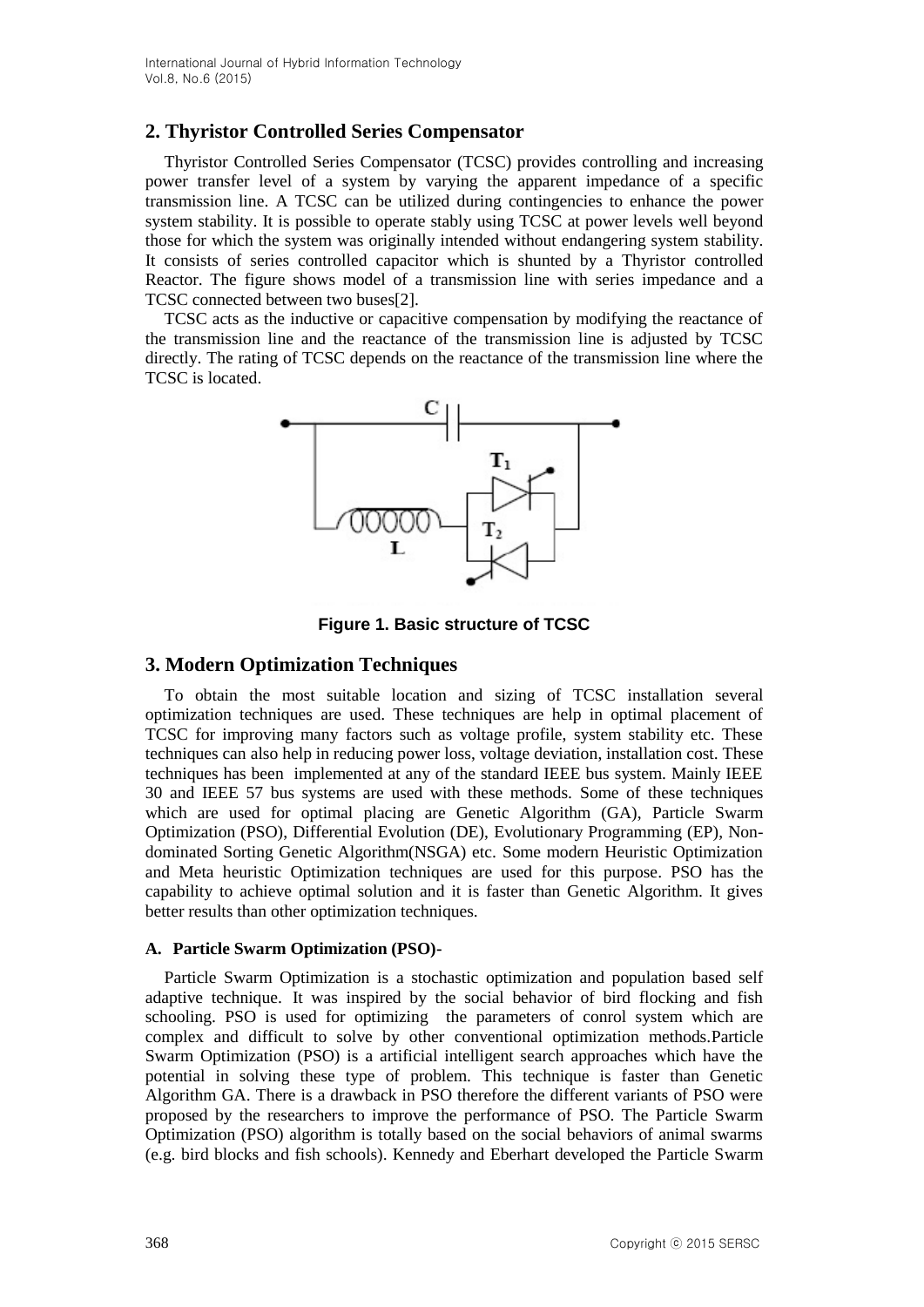# **2. Thyristor Controlled Series Compensator**

Thyristor Controlled Series Compensator (TCSC) provides controlling and increasing power transfer level of a system by varying the apparent impedance of a specific transmission line. A TCSC can be utilized during contingencies to enhance the power system stability. It is possible to operate stably using TCSC at power levels well beyond those for which the system was originally intended without endangering system stability. It consists of series controlled capacitor which is shunted by a Thyristor controlled Reactor. The figure shows model of a transmission line with series impedance and a TCSC connected between two buses[2].

TCSC acts as the inductive or capacitive compensation by modifying the reactance of the transmission line and the reactance of the transmission line is adjusted by TCSC directly. The rating of TCSC depends on the reactance of the transmission line where the TCSC is located.



**Figure 1. Basic structure of TCSC**

## **3. Modern Optimization Techniques**

To obtain the most suitable location and sizing of TCSC installation several optimization techniques are used. These techniques are help in optimal placement of TCSC for improving many factors such as voltage profile, system stability etc. These techniques can also help in reducing power loss, voltage deviation, installation cost. These techniques has been implemented at any of the standard IEEE bus system. Mainly IEEE 30 and IEEE 57 bus systems are used with these methods. Some of these techniques which are used for optimal placing are Genetic Algorithm (GA), Particle Swarm Optimization (PSO), Differential Evolution (DE), Evolutionary Programming (EP), Nondominated Sorting Genetic Algorithm(NSGA) etc. Some modern Heuristic Optimization and Meta heuristic Optimization techniques are used for this purpose. PSO has the capability to achieve optimal solution and it is faster than Genetic Algorithm. It gives better results than other optimization techniques.

#### **A. Particle Swarm Optimization (PSO)-**

Particle Swarm Optimization is a stochastic optimization and population based self adaptive technique. It was inspired by the social behavior of bird flocking and fish schooling. PSO is used for optimizing the parameters of conrol system which are complex and difficult to solve by other conventional optimization methods.Particle Swarm Optimization (PSO) is a artificial intelligent search approaches which have the potential in solving these type of problem. This technique is faster than Genetic Algorithm GA. There is a drawback in PSO therefore the different variants of PSO were proposed by the researchers to improve the performance of PSO. The Particle Swarm Optimization (PSO) algorithm is totally based on the social behaviors of animal swarms (e.g. bird blocks and fish schools). Kennedy and Eberhart developed the Particle Swarm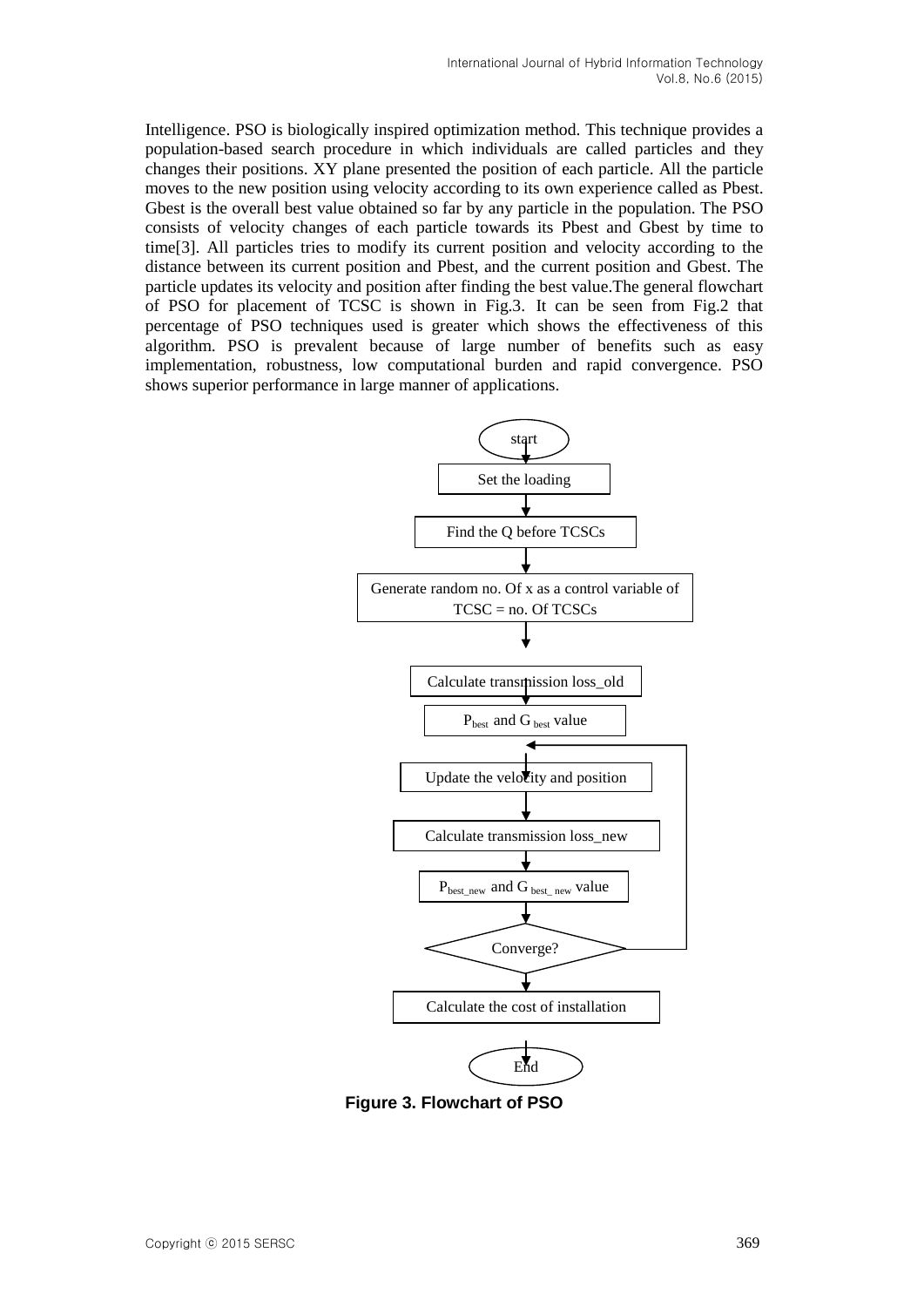Intelligence. PSO is biologically inspired optimization method. This technique provides a population-based search procedure in which individuals are called particles and they changes their positions. XY plane presented the position of each particle. All the particle moves to the new position using velocity according to its own experience called as Pbest. Gbest is the overall best value obtained so far by any particle in the population. The PSO consists of velocity changes of each particle towards its Pbest and Gbest by time to time[3]. All particles tries to modify its current position and velocity according to the distance between its current position and Pbest, and the current position and Gbest. The particle updates its velocity and position after finding the best value.The general flowchart of PSO for placement of TCSC is shown in Fig.3. It can be seen from Fig.2 that percentage of PSO techniques used is greater which shows the effectiveness of this algorithm. PSO is prevalent because of large number of benefits such as easy implementation, robustness, low computational burden and rapid convergence. PSO shows superior performance in large manner of applications.



**Figure 3. Flowchart of PSO**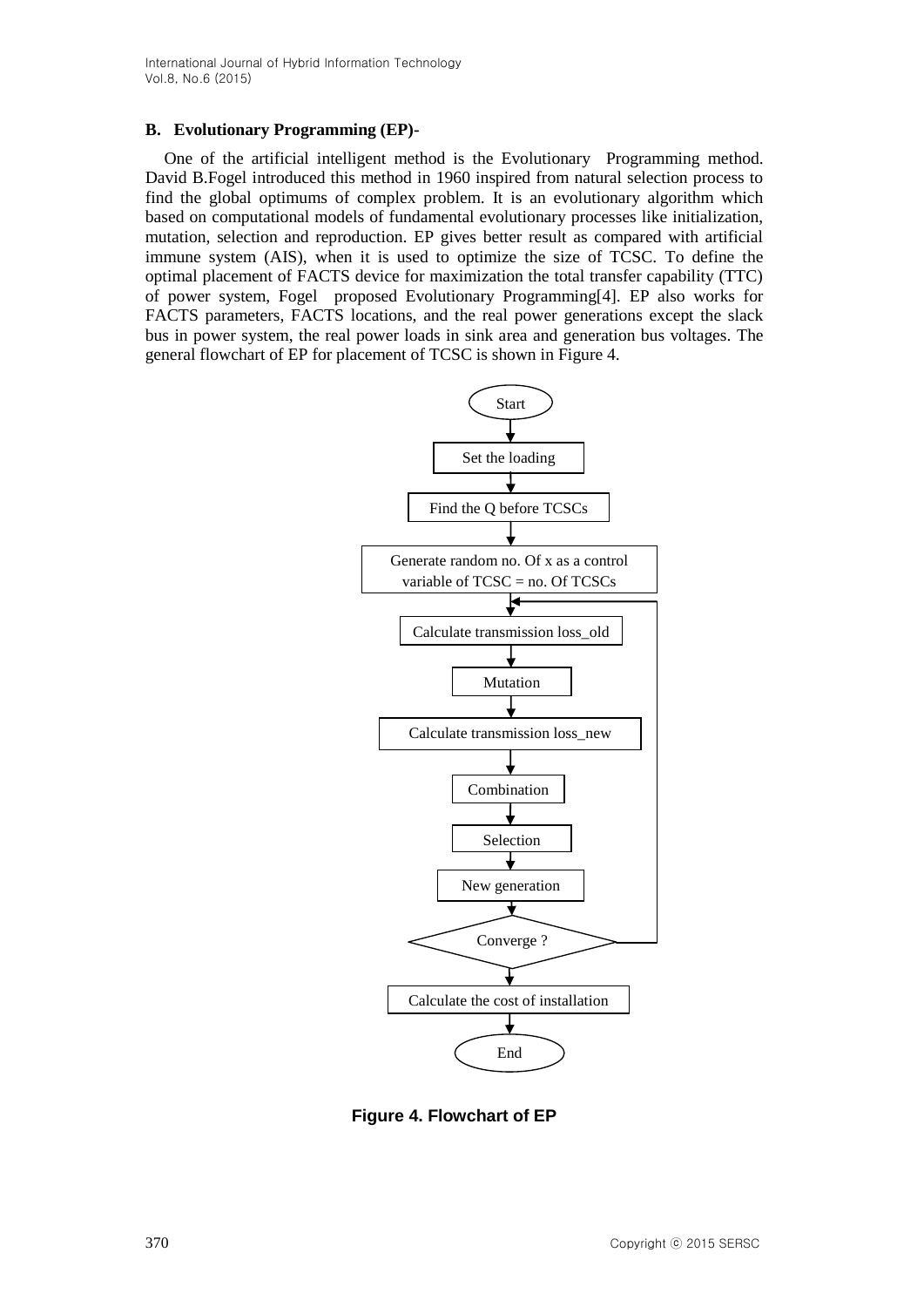### **B. Evolutionary Programming (EP)-**

One of the artificial intelligent method is the Evolutionary Programming method. David B.Fogel introduced this method in 1960 inspired from natural selection process to find the global optimums of complex problem. It is an evolutionary algorithm which based on computational models of fundamental evolutionary processes like initialization, mutation, selection and reproduction. EP gives better result as compared with artificial immune system (AIS), when it is used to optimize the size of TCSC. To define the optimal placement of FACTS device for maximization the total transfer capability (TTC) of power system, Fogel proposed Evolutionary Programming[4]. EP also works for FACTS parameters, FACTS locations, and the real power generations except the slack bus in power system, the real power loads in sink area and generation bus voltages. The general flowchart of EP for placement of TCSC is shown in Figure 4.



**Figure 4. Flowchart of EP**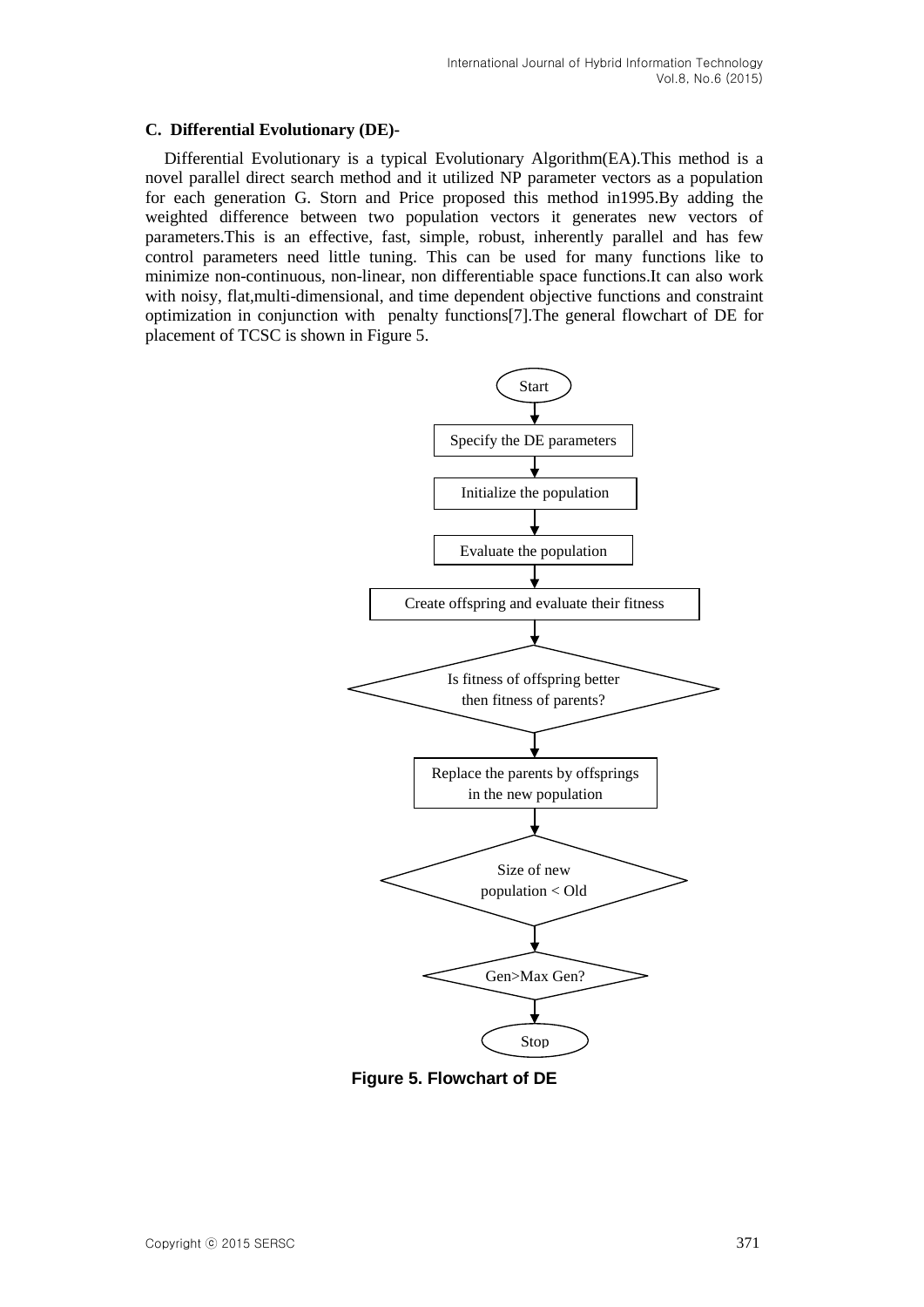#### **C. Differential Evolutionary (DE)-**

Differential Evolutionary is a typical Evolutionary Algorithm(EA).This method is a novel parallel direct search method and it utilized NP parameter vectors as a population for each generation G. Storn and Price proposed this method in1995.By adding the weighted difference between two population vectors it generates new vectors of parameters.This is an effective, fast, simple, robust, inherently parallel and has few control parameters need little tuning. This can be used for many functions like to minimize non-continuous, non-linear, non differentiable space functions.It can also work with noisy, flat,multi-dimensional, and time dependent objective functions and constraint optimization in conjunction with penalty functions[7].The general flowchart of DE for placement of TCSC is shown in Figure 5.



**Figure 5. Flowchart of DE**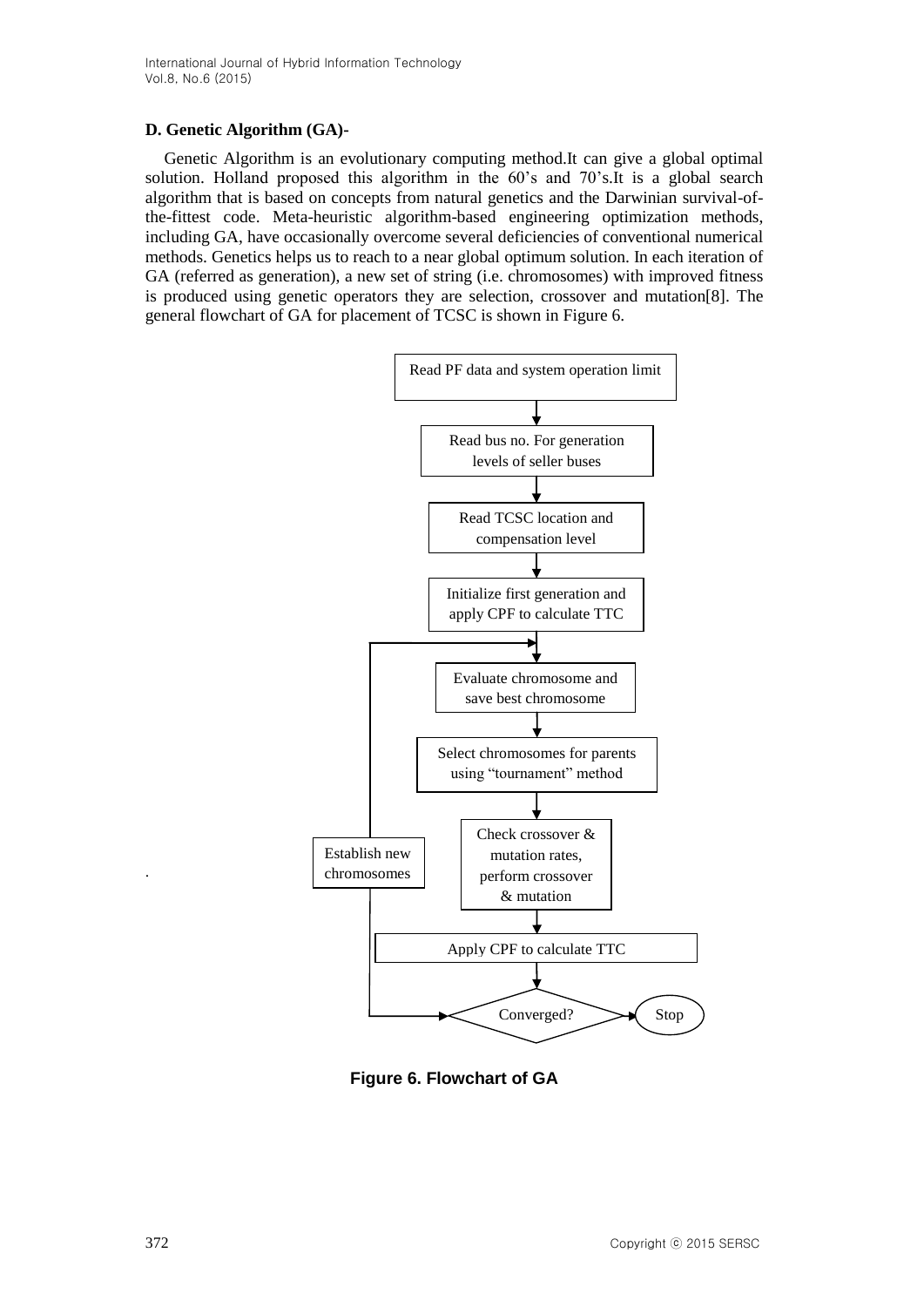### **D. Genetic Algorithm (GA)-**

Genetic Algorithm is an evolutionary computing method.It can give a global optimal solution. Holland proposed this algorithm in the 60's and 70's.It is a global search algorithm that is based on concepts from natural genetics and the Darwinian survival-ofthe-fittest code. Meta-heuristic algorithm-based engineering optimization methods, including GA, have occasionally overcome several deficiencies of conventional numerical methods. Genetics helps us to reach to a near global optimum solution. In each iteration of GA (referred as generation), a new set of string (i.e. chromosomes) with improved fitness is produced using genetic operators they are selection, crossover and mutation[8]. The general flowchart of GA for placement of TCSC is shown in Figure 6.



**Figure 6. Flowchart of GA**

.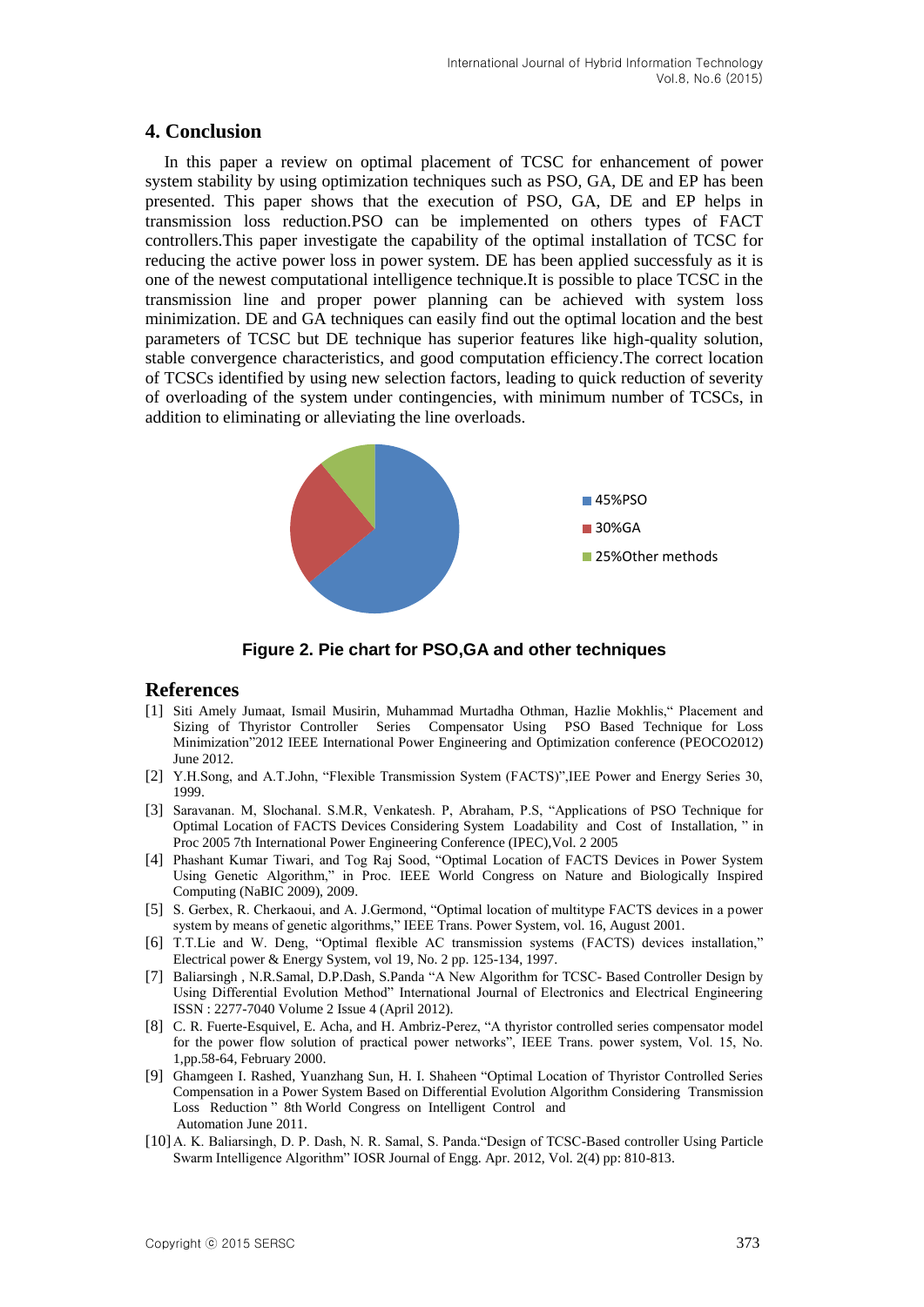## **4. Conclusion**

In this paper a review on optimal placement of TCSC for enhancement of power system stability by using optimization techniques such as PSO, GA, DE and EP has been presented. This paper shows that the execution of PSO, GA, DE and EP helps in transmission loss reduction.PSO can be implemented on others types of FACT controllers.This paper investigate the capability of the optimal installation of TCSC for reducing the active power loss in power system. DE has been applied successfuly as it is one of the newest computational intelligence technique.It is possible to place TCSC in the transmission line and proper power planning can be achieved with system loss minimization. DE and GA techniques can easily find out the optimal location and the best parameters of TCSC but DE technique has superior features like high-quality solution, stable convergence characteristics, and good computation efficiency.The correct location of TCSCs identified by using new selection factors, leading to quick reduction of severity of overloading of the system under contingencies, with minimum number of TCSCs, in addition to eliminating or alleviating the line overloads.



**Figure 2. Pie chart for PSO,GA and other techniques**

#### **References**

- [1] Siti Amely Jumaat, Ismail Musirin, Muhammad Murtadha Othman, Hazlie Mokhlis," Placement and Sizing of Thyristor Controller Series Compensator Using PSO Based Technique for Loss Minimization"2012 IEEE International Power Engineering and Optimization conference (PEOCO2012) June 2012.
- [2] Y.H.Song, and A.T.John, "Flexible Transmission System (FACTS)",IEE Power and Energy Series 30, 1999.
- [3] Saravanan. M, Slochanal. S.M.R, Venkatesh. P, Abraham, P.S, "Applications of PSO Technique for Optimal Location of FACTS Devices Considering System Loadability and Cost of Installation, " in Proc 2005 7th International Power Engineering Conference (IPEC),Vol. 2 2005
- [4] Phashant Kumar Tiwari, and Tog Raj Sood, "Optimal Location of FACTS Devices in Power System Using Genetic Algorithm," in Proc. IEEE World Congress on Nature and Biologically Inspired Computing (NaBIC 2009), 2009.
- [5] S. Gerbex, R. Cherkaoui, and A. J.Germond, "Optimal location of multitype FACTS devices in a power system by means of genetic algorithms," IEEE Trans. Power System, vol. 16, August 2001.
- [6] T.T.Lie and W. Deng, "Optimal flexible AC transmission systems (FACTS) devices installation," Electrical power & Energy System, vol 19, No. 2 pp. 125-134, 1997.
- [7] Baliarsingh , N.R.Samal, D.P.Dash, S.Panda "A New Algorithm for TCSC- Based Controller Design by Using Differential Evolution Method" International Journal of Electronics and Electrical Engineering ISSN : 2277-7040 Volume 2 Issue 4 (April 2012).
- [8] C. R. Fuerte-Esquivel, E. Acha, and H. Ambriz-Perez, "A thyristor controlled series compensator model for the power flow solution of practical power networks", IEEE Trans. power system, Vol. 15, No. 1,pp.58-64, February 2000.
- [9] Ghamgeen I. Rashed, Yuanzhang Sun, H. I. Shaheen "Optimal Location of Thyristor Controlled Series Compensation in a Power System Based on Differential Evolution Algorithm Considering Transmission Loss Reduction " 8th World Congress on Intelligent Control and Automation June 2011.
- [10]A. K. Baliarsingh, D. P. Dash, N. R. Samal, S. Panda."Design of TCSC-Based controller Using Particle Swarm Intelligence Algorithm" IOSR Journal of Engg. Apr. 2012, Vol. 2(4) pp: 810-813.